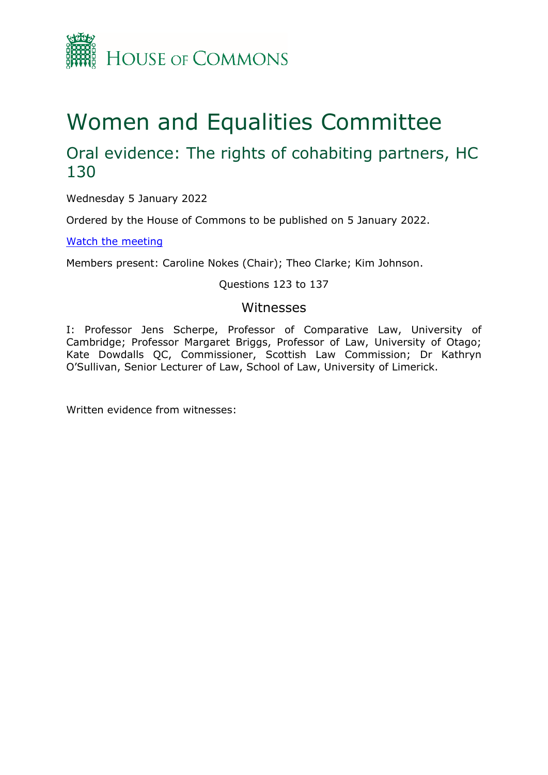

# Women and Equalities Committee

# Oral evidence: The rights of cohabiting partners, HC 130

Wednesday 5 January 2022

Ordered by the House of Commons to be published on 5 January 2022.

[Watch](https://www.parliamentlive.tv/Event/Index/89fb2511-6e32-4769-afb6-80d6ac0e1137) [the](https://www.parliamentlive.tv/Event/Index/89fb2511-6e32-4769-afb6-80d6ac0e1137) [meeting](https://www.parliamentlive.tv/Event/Index/89fb2511-6e32-4769-afb6-80d6ac0e1137)

Members present: Caroline Nokes (Chair); Theo Clarke; Kim Johnson.

#### Questions 123 to 137

### Witnesses

I: Professor Jens Scherpe, Professor of Comparative Law, University of Cambridge; Professor Margaret Briggs, Professor of Law, University of Otago; Kate Dowdalls QC, Commissioner, Scottish Law Commission; Dr Kathryn O'Sullivan, Senior Lecturer of Law, School of Law, University of Limerick.

Written evidence from witnesses: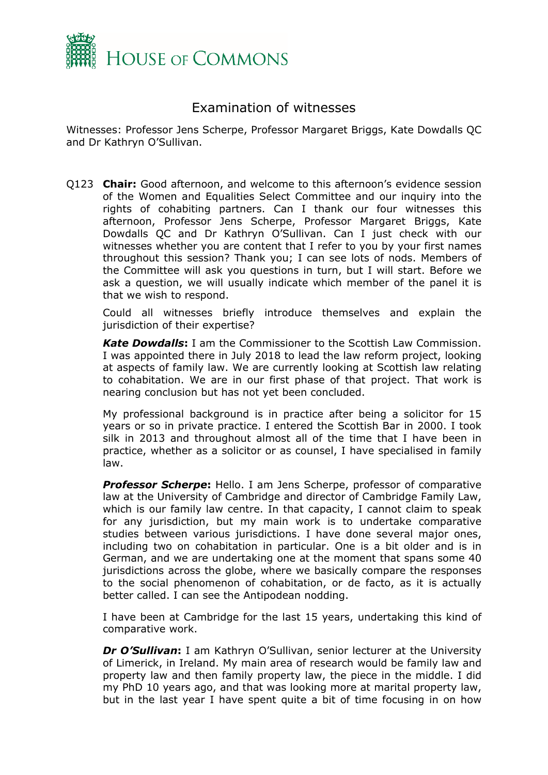

## Examination of witnesses

Witnesses: Professor Jens Scherpe, Professor Margaret Briggs, Kate Dowdalls QC and Dr Kathryn O'Sullivan.

Q123 **Chair:** Good afternoon, and welcome to this afternoon's evidence session of the Women and Equalities Select Committee and our inquiry into the rights of cohabiting partners. Can I thank our four witnesses this afternoon, Professor Jens Scherpe, Professor Margaret Briggs, Kate Dowdalls QC and Dr Kathryn O'Sullivan. Can I just check with our witnesses whether you are content that I refer to you by your first names throughout this session? Thank you; I can see lots of nods. Members of the Committee will ask you questions in turn, but I will start. Before we ask a question, we will usually indicate which member of the panel it is that we wish to respond.

Could all witnesses briefly introduce themselves and explain the jurisdiction of their expertise?

*Kate Dowdalls***:** I am the Commissioner to the Scottish Law Commission. I was appointed there in July 2018 to lead the law reform project, looking at aspects of family law. We are currently looking at Scottish law relating to cohabitation. We are in our first phase of that project. That work is nearing conclusion but has not yet been concluded.

My professional background is in practice after being a solicitor for 15 years or so in private practice. I entered the Scottish Bar in 2000. I took silk in 2013 and throughout almost all of the time that I have been in practice, whether as a solicitor or as counsel, I have specialised in family law.

**Professor Scherpe:** Hello. I am Jens Scherpe, professor of comparative law at the University of Cambridge and director of Cambridge Family Law, which is our family law centre. In that capacity, I cannot claim to speak for any jurisdiction, but my main work is to undertake comparative studies between various jurisdictions. I have done several major ones, including two on cohabitation in particular. One is a bit older and is in German, and we are undertaking one at the moment that spans some 40 jurisdictions across the globe, where we basically compare the responses to the social phenomenon of cohabitation, or de facto, as it is actually better called. I can see the Antipodean nodding.

I have been at Cambridge for the last 15 years, undertaking this kind of comparative work.

*Dr O'Sullivan***:** I am Kathryn O'Sullivan, senior lecturer at the University of Limerick, in Ireland. My main area of research would be family law and property law and then family property law, the piece in the middle. I did my PhD 10 years ago, and that was looking more at marital property law, but in the last year I have spent quite a bit of time focusing in on how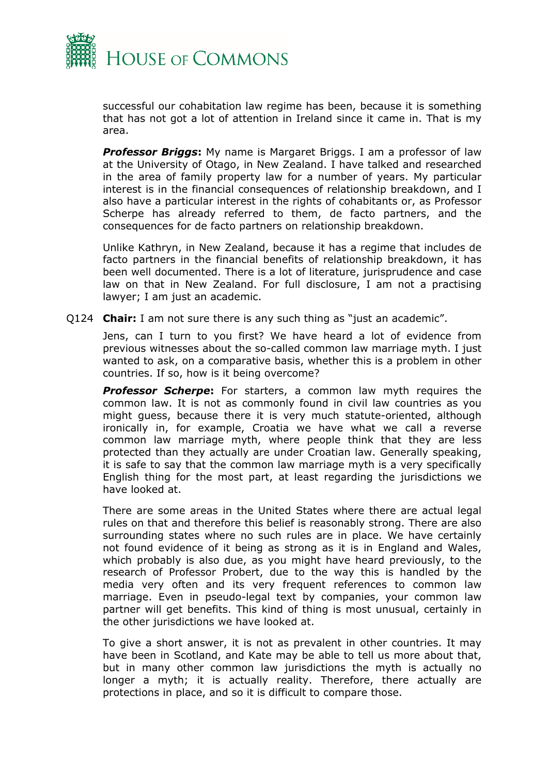

successful our cohabitation law regime has been, because it is something that has not got a lot of attention in Ireland since it came in. That is my area.

*Professor Briggs***:** My name is Margaret Briggs. I am a professor of law at the University of Otago, in New Zealand. I have talked and researched in the area of family property law for a number of years. My particular interest is in the financial consequences of relationship breakdown, and I also have a particular interest in the rights of cohabitants or, as Professor Scherpe has already referred to them, de facto partners, and the consequences for de facto partners on relationship breakdown.

Unlike Kathryn, in New Zealand, because it has a regime that includes de facto partners in the financial benefits of relationship breakdown, it has been well documented. There is a lot of literature, jurisprudence and case law on that in New Zealand. For full disclosure, I am not a practising lawyer; I am just an academic.

Q124 **Chair:** I am not sure there is any such thing as "just an academic".

Jens, can I turn to you first? We have heard a lot of evidence from previous witnesses about the so-called common law marriage myth. I just wanted to ask, on a comparative basis, whether this is a problem in other countries. If so, how is it being overcome?

**Professor Scherpe:** For starters, a common law myth requires the common law. It is not as commonly found in civil law countries as you might guess, because there it is very much statute-oriented, although ironically in, for example, Croatia we have what we call a reverse common law marriage myth, where people think that they are less protected than they actually are under Croatian law. Generally speaking, it is safe to say that the common law marriage myth is a very specifically English thing for the most part, at least regarding the jurisdictions we have looked at.

There are some areas in the United States where there are actual legal rules on that and therefore this belief is reasonably strong. There are also surrounding states where no such rules are in place. We have certainly not found evidence of it being as strong as it is in England and Wales, which probably is also due, as you might have heard previously, to the research of Professor Probert, due to the way this is handled by the media very often and its very frequent references to common law marriage. Even in pseudo-legal text by companies, your common law partner will get benefits. This kind of thing is most unusual, certainly in the other jurisdictions we have looked at.

To give a short answer, it is not as prevalent in other countries. It may have been in Scotland, and Kate may be able to tell us more about that, but in many other common law jurisdictions the myth is actually no longer a myth; it is actually reality. Therefore, there actually are protections in place, and so it is difficult to compare those.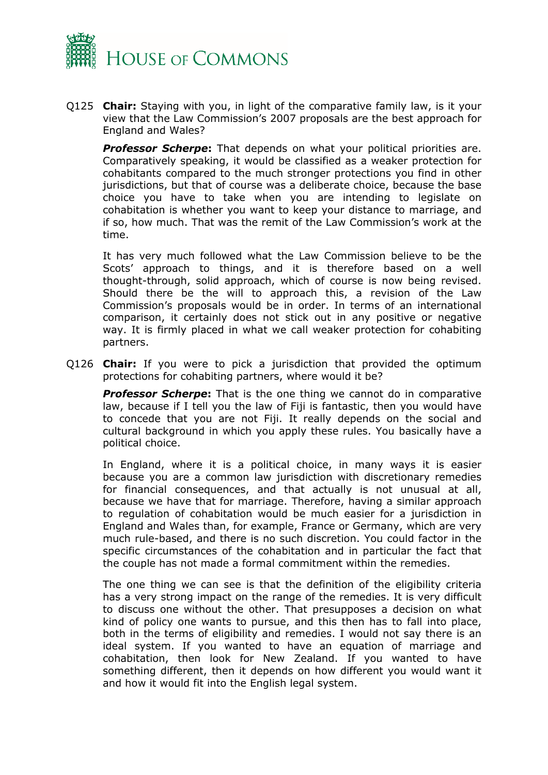

Q125 **Chair:** Staying with you, in light of the comparative family law, is it your view that the Law Commission's 2007 proposals are the best approach for England and Wales?

**Professor Scherpe:** That depends on what your political priorities are. Comparatively speaking, it would be classified as a weaker protection for cohabitants compared to the much stronger protections you find in other jurisdictions, but that of course was a deliberate choice, because the base choice you have to take when you are intending to legislate on cohabitation is whether you want to keep your distance to marriage, and if so, how much. That was the remit of the Law Commission's work at the time.

It has very much followed what the Law Commission believe to be the Scots' approach to things, and it is therefore based on a well thought-through, solid approach, which of course is now being revised. Should there be the will to approach this, a revision of the Law Commission's proposals would be in order. In terms of an international comparison, it certainly does not stick out in any positive or negative way. It is firmly placed in what we call weaker protection for cohabiting partners.

Q126 **Chair:** If you were to pick a jurisdiction that provided the optimum protections for cohabiting partners, where would it be?

**Professor Scherpe:** That is the one thing we cannot do in comparative law, because if I tell you the law of Fiji is fantastic, then you would have to concede that you are not Fiji. It really depends on the social and cultural background in which you apply these rules. You basically have a political choice.

In England, where it is a political choice, in many ways it is easier because you are a common law jurisdiction with discretionary remedies for financial consequences, and that actually is not unusual at all, because we have that for marriage. Therefore, having a similar approach to regulation of cohabitation would be much easier for a jurisdiction in England and Wales than, for example, France or Germany, which are very much rule-based, and there is no such discretion. You could factor in the specific circumstances of the cohabitation and in particular the fact that the couple has not made a formal commitment within the remedies.

The one thing we can see is that the definition of the eligibility criteria has a very strong impact on the range of the remedies. It is very difficult to discuss one without the other. That presupposes a decision on what kind of policy one wants to pursue, and this then has to fall into place, both in the terms of eligibility and remedies. I would not say there is an ideal system. If you wanted to have an equation of marriage and cohabitation, then look for New Zealand. If you wanted to have something different, then it depends on how different you would want it and how it would fit into the English legal system.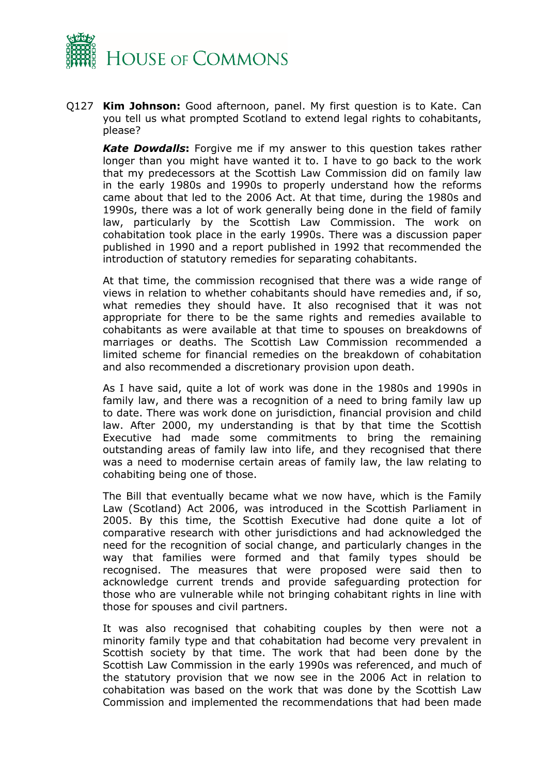

Q127 **Kim Johnson:** Good afternoon, panel. My first question is to Kate. Can you tell us what prompted Scotland to extend legal rights to cohabitants, please?

*Kate Dowdalls***:** Forgive me if my answer to this question takes rather longer than you might have wanted it to. I have to go back to the work that my predecessors at the Scottish Law Commission did on family law in the early 1980s and 1990s to properly understand how the reforms came about that led to the 2006 Act. At that time, during the 1980s and 1990s, there was a lot of work generally being done in the field of family law, particularly by the Scottish Law Commission. The work on cohabitation took place in the early 1990s. There was a discussion paper published in 1990 and a report published in 1992 that recommended the introduction of statutory remedies for separating cohabitants.

At that time, the commission recognised that there was a wide range of views in relation to whether cohabitants should have remedies and, if so, what remedies they should have. It also recognised that it was not appropriate for there to be the same rights and remedies available to cohabitants as were available at that time to spouses on breakdowns of marriages or deaths. The Scottish Law Commission recommended a limited scheme for financial remedies on the breakdown of cohabitation and also recommended a discretionary provision upon death.

As I have said, quite a lot of work was done in the 1980s and 1990s in family law, and there was a recognition of a need to bring family law up to date. There was work done on jurisdiction, financial provision and child law. After 2000, my understanding is that by that time the Scottish Executive had made some commitments to bring the remaining outstanding areas of family law into life, and they recognised that there was a need to modernise certain areas of family law, the law relating to cohabiting being one of those.

The Bill that eventually became what we now have, which is the Family Law (Scotland) Act 2006, was introduced in the Scottish Parliament in 2005. By this time, the Scottish Executive had done quite a lot of comparative research with other jurisdictions and had acknowledged the need for the recognition of social change, and particularly changes in the way that families were formed and that family types should be recognised. The measures that were proposed were said then to acknowledge current trends and provide safeguarding protection for those who are vulnerable while not bringing cohabitant rights in line with those for spouses and civil partners.

It was also recognised that cohabiting couples by then were not a minority family type and that cohabitation had become very prevalent in Scottish society by that time. The work that had been done by the Scottish Law Commission in the early 1990s was referenced, and much of the statutory provision that we now see in the 2006 Act in relation to cohabitation was based on the work that was done by the Scottish Law Commission and implemented the recommendations that had been made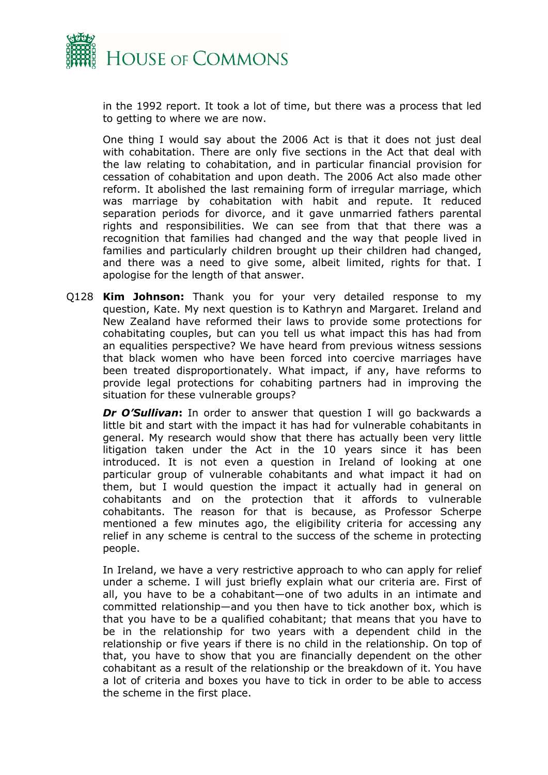

in the 1992 report. It took a lot of time, but there was a process that led to getting to where we are now.

One thing I would say about the 2006 Act is that it does not just deal with cohabitation. There are only five sections in the Act that deal with the law relating to cohabitation, and in particular financial provision for cessation of cohabitation and upon death. The 2006 Act also made other reform. It abolished the last remaining form of irregular marriage, which was marriage by cohabitation with habit and repute. It reduced separation periods for divorce, and it gave unmarried fathers parental rights and responsibilities. We can see from that that there was a recognition that families had changed and the way that people lived in families and particularly children brought up their children had changed, and there was a need to give some, albeit limited, rights for that. I apologise for the length of that answer.

Q128 **Kim Johnson:** Thank you for your very detailed response to my question, Kate. My next question is to Kathryn and Margaret. Ireland and New Zealand have reformed their laws to provide some protections for cohabitating couples, but can you tell us what impact this has had from an equalities perspective? We have heard from previous witness sessions that black women who have been forced into coercive marriages have been treated disproportionately. What impact, if any, have reforms to provide legal protections for cohabiting partners had in improving the situation for these vulnerable groups?

*Dr O'Sullivan***:** In order to answer that question I will go backwards a little bit and start with the impact it has had for vulnerable cohabitants in general. My research would show that there has actually been very little litigation taken under the Act in the 10 years since it has been introduced. It is not even a question in Ireland of looking at one particular group of vulnerable cohabitants and what impact it had on them, but I would question the impact it actually had in general on cohabitants and on the protection that it affords to vulnerable cohabitants. The reason for that is because, as Professor Scherpe mentioned a few minutes ago, the eligibility criteria for accessing any relief in any scheme is central to the success of the scheme in protecting people.

In Ireland, we have a very restrictive approach to who can apply for relief under a scheme. I will just briefly explain what our criteria are. First of all, you have to be a cohabitant—one of two adults in an intimate and committed relationship—and you then have to tick another box, which is that you have to be a qualified cohabitant; that means that you have to be in the relationship for two years with a dependent child in the relationship or five years if there is no child in the relationship. On top of that, you have to show that you are financially dependent on the other cohabitant as a result of the relationship or the breakdown of it. You have a lot of criteria and boxes you have to tick in order to be able to access the scheme in the first place.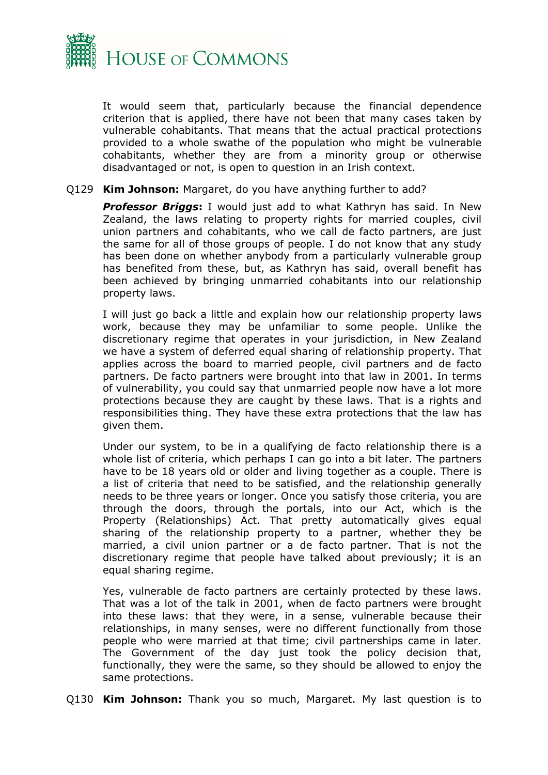

It would seem that, particularly because the financial dependence criterion that is applied, there have not been that many cases taken by vulnerable cohabitants. That means that the actual practical protections provided to a whole swathe of the population who might be vulnerable cohabitants, whether they are from a minority group or otherwise disadvantaged or not, is open to question in an Irish context.

#### Q129 **Kim Johnson:** Margaret, do you have anything further to add?

*Professor Briggs***:** I would just add to what Kathryn has said. In New Zealand, the laws relating to property rights for married couples, civil union partners and cohabitants, who we call de facto partners, are just the same for all of those groups of people. I do not know that any study has been done on whether anybody from a particularly vulnerable group has benefited from these, but, as Kathryn has said, overall benefit has been achieved by bringing unmarried cohabitants into our relationship property laws.

I will just go back a little and explain how our relationship property laws work, because they may be unfamiliar to some people. Unlike the discretionary regime that operates in your jurisdiction, in New Zealand we have a system of deferred equal sharing of relationship property. That applies across the board to married people, civil partners and de facto partners. De facto partners were brought into that law in 2001. In terms of vulnerability, you could say that unmarried people now have a lot more protections because they are caught by these laws. That is a rights and responsibilities thing. They have these extra protections that the law has given them.

Under our system, to be in a qualifying de facto relationship there is a whole list of criteria, which perhaps I can go into a bit later. The partners have to be 18 years old or older and living together as a couple. There is a list of criteria that need to be satisfied, and the relationship generally needs to be three years or longer. Once you satisfy those criteria, you are through the doors, through the portals, into our Act, which is the Property (Relationships) Act. That pretty automatically gives equal sharing of the relationship property to a partner, whether they be married, a civil union partner or a de facto partner. That is not the discretionary regime that people have talked about previously; it is an equal sharing regime.

Yes, vulnerable de facto partners are certainly protected by these laws. That was a lot of the talk in 2001, when de facto partners were brought into these laws: that they were, in a sense, vulnerable because their relationships, in many senses, were no different functionally from those people who were married at that time; civil partnerships came in later. The Government of the day just took the policy decision that, functionally, they were the same, so they should be allowed to enjoy the same protections.

Q130 **Kim Johnson:** Thank you so much, Margaret. My last question is to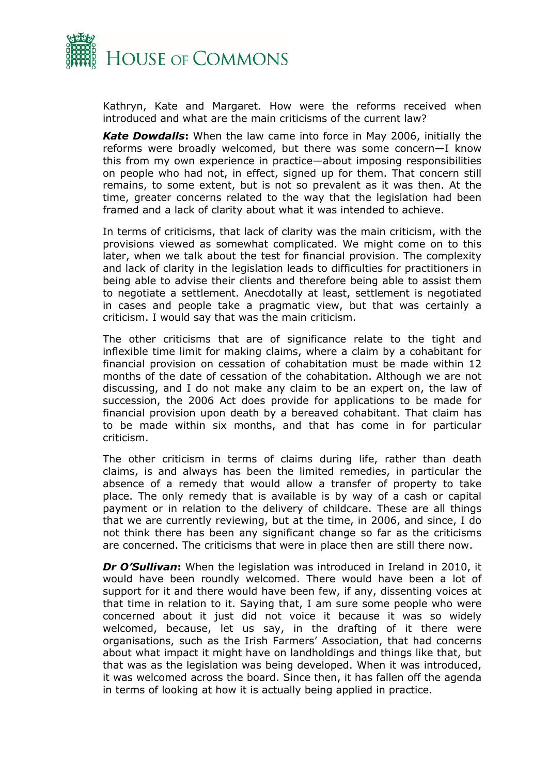

Kathryn, Kate and Margaret. How were the reforms received when introduced and what are the main criticisms of the current law?

*Kate Dowdalls***:** When the law came into force in May 2006, initially the reforms were broadly welcomed, but there was some concern—I know this from my own experience in practice—about imposing responsibilities on people who had not, in effect, signed up for them. That concern still remains, to some extent, but is not so prevalent as it was then. At the time, greater concerns related to the way that the legislation had been framed and a lack of clarity about what it was intended to achieve.

In terms of criticisms, that lack of clarity was the main criticism, with the provisions viewed as somewhat complicated. We might come on to this later, when we talk about the test for financial provision. The complexity and lack of clarity in the legislation leads to difficulties for practitioners in being able to advise their clients and therefore being able to assist them to negotiate a settlement. Anecdotally at least, settlement is negotiated in cases and people take a pragmatic view, but that was certainly a criticism. I would say that was the main criticism.

The other criticisms that are of significance relate to the tight and inflexible time limit for making claims, where a claim by a cohabitant for financial provision on cessation of cohabitation must be made within 12 months of the date of cessation of the cohabitation. Although we are not discussing, and I do not make any claim to be an expert on, the law of succession, the 2006 Act does provide for applications to be made for financial provision upon death by a bereaved cohabitant. That claim has to be made within six months, and that has come in for particular criticism.

The other criticism in terms of claims during life, rather than death claims, is and always has been the limited remedies, in particular the absence of a remedy that would allow a transfer of property to take place. The only remedy that is available is by way of a cash or capital payment or in relation to the delivery of childcare. These are all things that we are currently reviewing, but at the time, in 2006, and since, I do not think there has been any significant change so far as the criticisms are concerned. The criticisms that were in place then are still there now.

*Dr O'Sullivan***:** When the legislation was introduced in Ireland in 2010, it would have been roundly welcomed. There would have been a lot of support for it and there would have been few, if any, dissenting voices at that time in relation to it. Saying that, I am sure some people who were concerned about it just did not voice it because it was so widely welcomed, because, let us say, in the drafting of it there were organisations, such as the Irish Farmers' Association, that had concerns about what impact it might have on landholdings and things like that, but that was as the legislation was being developed. When it was introduced, it was welcomed across the board. Since then, it has fallen off the agenda in terms of looking at how it is actually being applied in practice.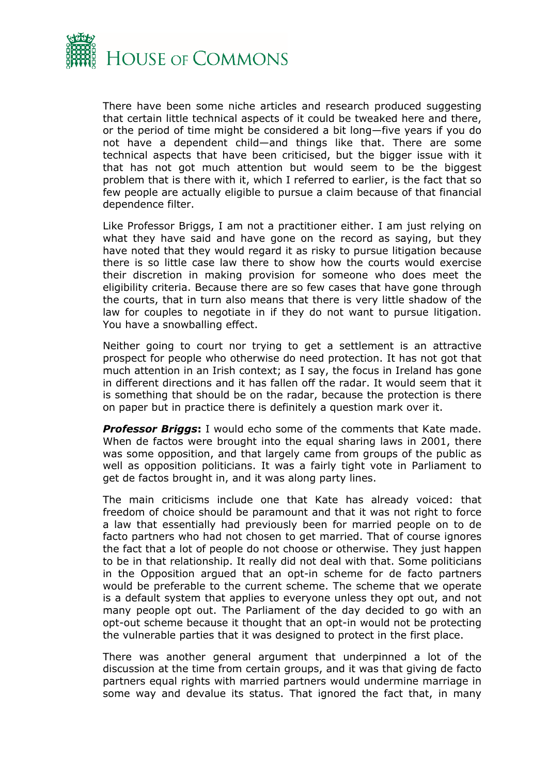

There have been some niche articles and research produced suggesting that certain little technical aspects of it could be tweaked here and there, or the period of time might be considered a bit long—five years if you do not have a dependent child—and things like that. There are some technical aspects that have been criticised, but the bigger issue with it that has not got much attention but would seem to be the biggest problem that is there with it, which I referred to earlier, is the fact that so few people are actually eligible to pursue a claim because of that financial dependence filter.

Like Professor Briggs, I am not a practitioner either. I am just relying on what they have said and have gone on the record as saying, but they have noted that they would regard it as risky to pursue litigation because there is so little case law there to show how the courts would exercise their discretion in making provision for someone who does meet the eligibility criteria. Because there are so few cases that have gone through the courts, that in turn also means that there is very little shadow of the law for couples to negotiate in if they do not want to pursue litigation. You have a snowballing effect.

Neither going to court nor trying to get a settlement is an attractive prospect for people who otherwise do need protection. It has not got that much attention in an Irish context; as I say, the focus in Ireland has gone in different directions and it has fallen off the radar. It would seem that it is something that should be on the radar, because the protection is there on paper but in practice there is definitely a question mark over it.

*Professor Briggs***:** I would echo some of the comments that Kate made. When de factos were brought into the equal sharing laws in 2001, there was some opposition, and that largely came from groups of the public as well as opposition politicians. It was a fairly tight vote in Parliament to get de factos brought in, and it was along party lines.

The main criticisms include one that Kate has already voiced: that freedom of choice should be paramount and that it was not right to force a law that essentially had previously been for married people on to de facto partners who had not chosen to get married. That of course ignores the fact that a lot of people do not choose or otherwise. They just happen to be in that relationship. It really did not deal with that. Some politicians in the Opposition argued that an opt-in scheme for de facto partners would be preferable to the current scheme. The scheme that we operate is a default system that applies to everyone unless they opt out, and not many people opt out. The Parliament of the day decided to go with an opt-out scheme because it thought that an opt-in would not be protecting the vulnerable parties that it was designed to protect in the first place.

There was another general argument that underpinned a lot of the discussion at the time from certain groups, and it was that giving de facto partners equal rights with married partners would undermine marriage in some way and devalue its status. That ignored the fact that, in many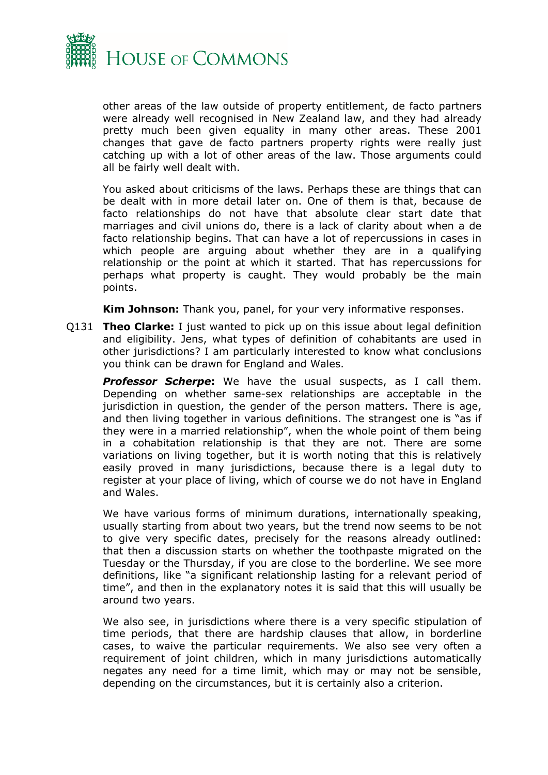

other areas of the law outside of property entitlement, de facto partners were already well recognised in New Zealand law, and they had already pretty much been given equality in many other areas. These 2001 changes that gave de facto partners property rights were really just catching up with a lot of other areas of the law. Those arguments could all be fairly well dealt with.

You asked about criticisms of the laws. Perhaps these are things that can be dealt with in more detail later on. One of them is that, because de facto relationships do not have that absolute clear start date that marriages and civil unions do, there is a lack of clarity about when a de facto relationship begins. That can have a lot of repercussions in cases in which people are arguing about whether they are in a qualifying relationship or the point at which it started. That has repercussions for perhaps what property is caught. They would probably be the main points.

**Kim Johnson:** Thank you, panel, for your very informative responses.

Q131 **Theo Clarke:** I just wanted to pick up on this issue about legal definition and eligibility. Jens, what types of definition of cohabitants are used in other jurisdictions? I am particularly interested to know what conclusions you think can be drawn for England and Wales.

**Professor Scherpe:** We have the usual suspects, as I call them. Depending on whether same-sex relationships are acceptable in the jurisdiction in question, the gender of the person matters. There is age, and then living together in various definitions. The strangest one is "as if they were in a married relationship", when the whole point of them being in a cohabitation relationship is that they are not. There are some variations on living together, but it is worth noting that this is relatively easily proved in many jurisdictions, because there is a legal duty to register at your place of living, which of course we do not have in England and Wales.

We have various forms of minimum durations, internationally speaking, usually starting from about two years, but the trend now seems to be not to give very specific dates, precisely for the reasons already outlined: that then a discussion starts on whether the toothpaste migrated on the Tuesday or the Thursday, if you are close to the borderline. We see more definitions, like "a significant relationship lasting for a relevant period of time", and then in the explanatory notes it is said that this will usually be around two years.

We also see, in jurisdictions where there is a very specific stipulation of time periods, that there are hardship clauses that allow, in borderline cases, to waive the particular requirements. We also see very often a requirement of joint children, which in many jurisdictions automatically negates any need for a time limit, which may or may not be sensible, depending on the circumstances, but it is certainly also a criterion.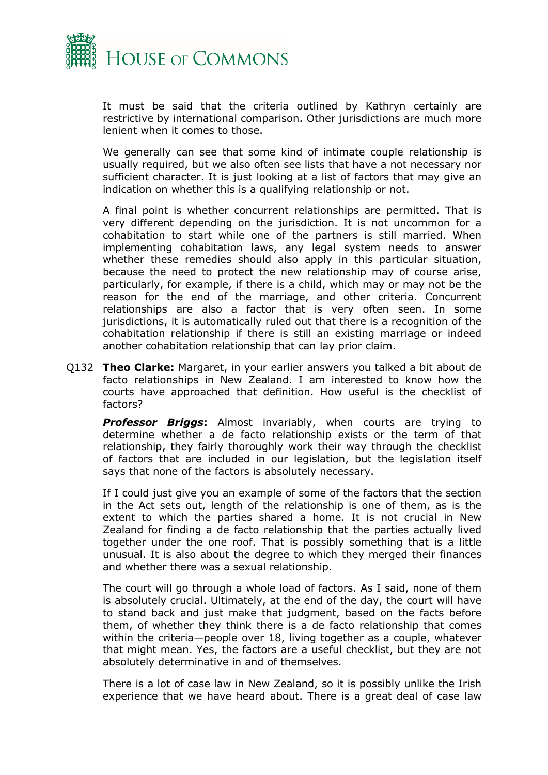

It must be said that the criteria outlined by Kathryn certainly are restrictive by international comparison. Other jurisdictions are much more lenient when it comes to those.

We generally can see that some kind of intimate couple relationship is usually required, but we also often see lists that have a not necessary nor sufficient character. It is just looking at a list of factors that may give an indication on whether this is a qualifying relationship or not.

A final point is whether concurrent relationships are permitted. That is very different depending on the jurisdiction. It is not uncommon for a cohabitation to start while one of the partners is still married. When implementing cohabitation laws, any legal system needs to answer whether these remedies should also apply in this particular situation, because the need to protect the new relationship may of course arise, particularly, for example, if there is a child, which may or may not be the reason for the end of the marriage, and other criteria. Concurrent relationships are also a factor that is very often seen. In some jurisdictions, it is automatically ruled out that there is a recognition of the cohabitation relationship if there is still an existing marriage or indeed another cohabitation relationship that can lay prior claim.

Q132 **Theo Clarke:** Margaret, in your earlier answers you talked a bit about de facto relationships in New Zealand. I am interested to know how the courts have approached that definition. How useful is the checklist of factors?

*Professor Briggs***:** Almost invariably, when courts are trying to determine whether a de facto relationship exists or the term of that relationship, they fairly thoroughly work their way through the checklist of factors that are included in our legislation, but the legislation itself says that none of the factors is absolutely necessary.

If I could just give you an example of some of the factors that the section in the Act sets out, length of the relationship is one of them, as is the extent to which the parties shared a home. It is not crucial in New Zealand for finding a de facto relationship that the parties actually lived together under the one roof. That is possibly something that is a little unusual. It is also about the degree to which they merged their finances and whether there was a sexual relationship.

The court will go through a whole load of factors. As I said, none of them is absolutely crucial. Ultimately, at the end of the day, the court will have to stand back and just make that judgment, based on the facts before them, of whether they think there is a de facto relationship that comes within the criteria—people over 18, living together as a couple, whatever that might mean. Yes, the factors are a useful checklist, but they are not absolutely determinative in and of themselves.

There is a lot of case law in New Zealand, so it is possibly unlike the Irish experience that we have heard about. There is a great deal of case law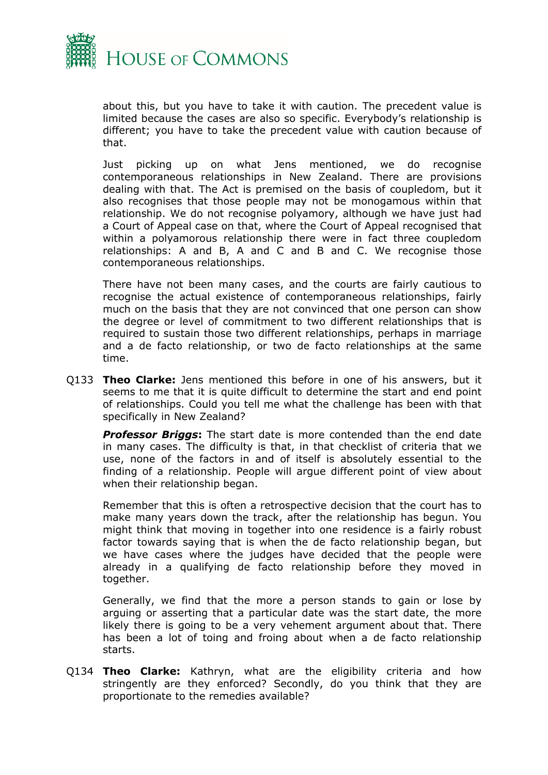

about this, but you have to take it with caution. The precedent value is limited because the cases are also so specific. Everybody's relationship is different; you have to take the precedent value with caution because of that.

Just picking up on what Jens mentioned, we do recognise contemporaneous relationships in New Zealand. There are provisions dealing with that. The Act is premised on the basis of coupledom, but it also recognises that those people may not be monogamous within that relationship. We do not recognise polyamory, although we have just had a Court of Appeal case on that, where the Court of Appeal recognised that within a polyamorous relationship there were in fact three coupledom relationships: A and B, A and C and B and C. We recognise those contemporaneous relationships.

There have not been many cases, and the courts are fairly cautious to recognise the actual existence of contemporaneous relationships, fairly much on the basis that they are not convinced that one person can show the degree or level of commitment to two different relationships that is required to sustain those two different relationships, perhaps in marriage and a de facto relationship, or two de facto relationships at the same time.

Q133 **Theo Clarke:** Jens mentioned this before in one of his answers, but it seems to me that it is quite difficult to determine the start and end point of relationships. Could you tell me what the challenge has been with that specifically in New Zealand?

*Professor Briggs***:** The start date is more contended than the end date in many cases. The difficulty is that, in that checklist of criteria that we use, none of the factors in and of itself is absolutely essential to the finding of a relationship. People will argue different point of view about when their relationship began.

Remember that this is often a retrospective decision that the court has to make many years down the track, after the relationship has begun. You might think that moving in together into one residence is a fairly robust factor towards saying that is when the de facto relationship began, but we have cases where the judges have decided that the people were already in a qualifying de facto relationship before they moved in together.

Generally, we find that the more a person stands to gain or lose by arguing or asserting that a particular date was the start date, the more likely there is going to be a very vehement argument about that. There has been a lot of toing and froing about when a de facto relationship starts.

Q134 **Theo Clarke:** Kathryn, what are the eligibility criteria and how stringently are they enforced? Secondly, do you think that they are proportionate to the remedies available?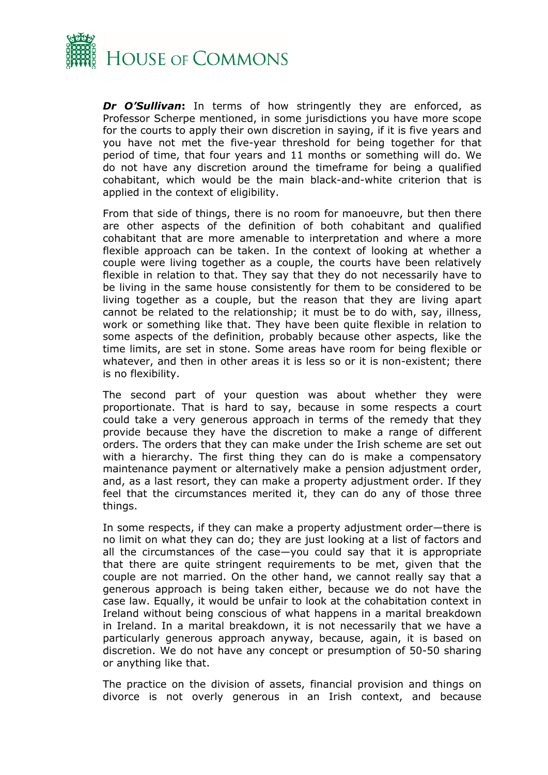

*Dr O'Sullivan***:** In terms of how stringently they are enforced, as Professor Scherpe mentioned, in some jurisdictions you have more scope for the courts to apply their own discretion in saying, if it is five years and you have not met the five-year threshold for being together for that period of time, that four years and 11 months or something will do. We do not have any discretion around the timeframe for being a qualified cohabitant, which would be the main black-and-white criterion that is applied in the context of eligibility.

From that side of things, there is no room for manoeuvre, but then there are other aspects of the definition of both cohabitant and qualified cohabitant that are more amenable to interpretation and where a more flexible approach can be taken. In the context of looking at whether a couple were living together as a couple, the courts have been relatively flexible in relation to that. They say that they do not necessarily have to be living in the same house consistently for them to be considered to be living together as a couple, but the reason that they are living apart cannot be related to the relationship; it must be to do with, say, illness, work or something like that. They have been quite flexible in relation to some aspects of the definition, probably because other aspects, like the time limits, are set in stone. Some areas have room for being flexible or whatever, and then in other areas it is less so or it is non-existent; there is no flexibility.

The second part of your question was about whether they were proportionate. That is hard to say, because in some respects a court could take a very generous approach in terms of the remedy that they provide because they have the discretion to make a range of different orders. The orders that they can make under the Irish scheme are set out with a hierarchy. The first thing they can do is make a compensatory maintenance payment or alternatively make a pension adjustment order, and, as a last resort, they can make a property adjustment order. If they feel that the circumstances merited it, they can do any of those three things.

In some respects, if they can make a property adjustment order—there is no limit on what they can do; they are just looking at a list of factors and all the circumstances of the case—you could say that it is appropriate that there are quite stringent requirements to be met, given that the couple are not married. On the other hand, we cannot really say that a generous approach is being taken either, because we do not have the case law. Equally, it would be unfair to look at the cohabitation context in Ireland without being conscious of what happens in a marital breakdown in Ireland. In a marital breakdown, it is not necessarily that we have a particularly generous approach anyway, because, again, it is based on discretion. We do not have any concept or presumption of 50-50 sharing or anything like that.

The practice on the division of assets, financial provision and things on divorce is not overly generous in an Irish context, and because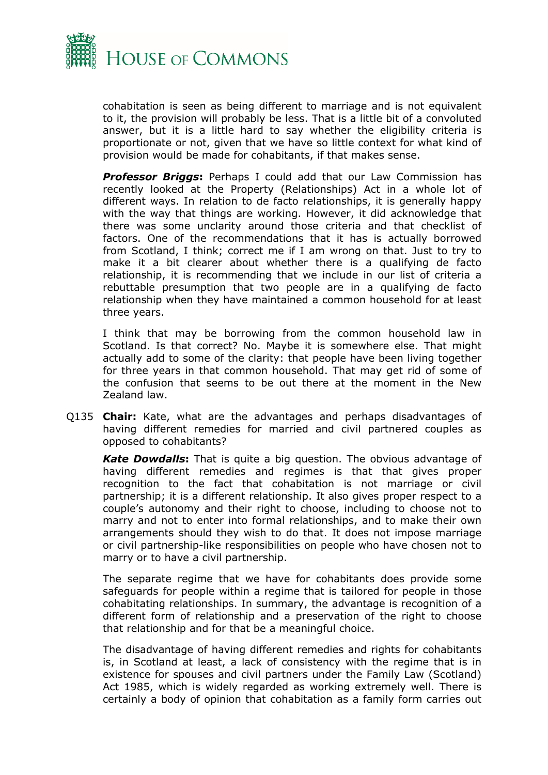

cohabitation is seen as being different to marriage and is not equivalent to it, the provision will probably be less. That is a little bit of a convoluted answer, but it is a little hard to say whether the eligibility criteria is proportionate or not, given that we have so little context for what kind of provision would be made for cohabitants, if that makes sense.

**Professor Briggs:** Perhaps I could add that our Law Commission has recently looked at the Property (Relationships) Act in a whole lot of different ways. In relation to de facto relationships, it is generally happy with the way that things are working. However, it did acknowledge that there was some unclarity around those criteria and that checklist of factors. One of the recommendations that it has is actually borrowed from Scotland, I think; correct me if I am wrong on that. Just to try to make it a bit clearer about whether there is a qualifying de facto relationship, it is recommending that we include in our list of criteria a rebuttable presumption that two people are in a qualifying de facto relationship when they have maintained a common household for at least three years.

I think that may be borrowing from the common household law in Scotland. Is that correct? No. Maybe it is somewhere else. That might actually add to some of the clarity: that people have been living together for three years in that common household. That may get rid of some of the confusion that seems to be out there at the moment in the New Zealand law.

Q135 **Chair:** Kate, what are the advantages and perhaps disadvantages of having different remedies for married and civil partnered couples as opposed to cohabitants?

*Kate Dowdalls***:** That is quite a big question. The obvious advantage of having different remedies and regimes is that that gives proper recognition to the fact that cohabitation is not marriage or civil partnership; it is a different relationship. It also gives proper respect to a couple's autonomy and their right to choose, including to choose not to marry and not to enter into formal relationships, and to make their own arrangements should they wish to do that. It does not impose marriage or civil partnership-like responsibilities on people who have chosen not to marry or to have a civil partnership.

The separate regime that we have for cohabitants does provide some safeguards for people within a regime that is tailored for people in those cohabitating relationships. In summary, the advantage is recognition of a different form of relationship and a preservation of the right to choose that relationship and for that be a meaningful choice.

The disadvantage of having different remedies and rights for cohabitants is, in Scotland at least, a lack of consistency with the regime that is in existence for spouses and civil partners under the Family Law (Scotland) Act 1985, which is widely regarded as working extremely well. There is certainly a body of opinion that cohabitation as a family form carries out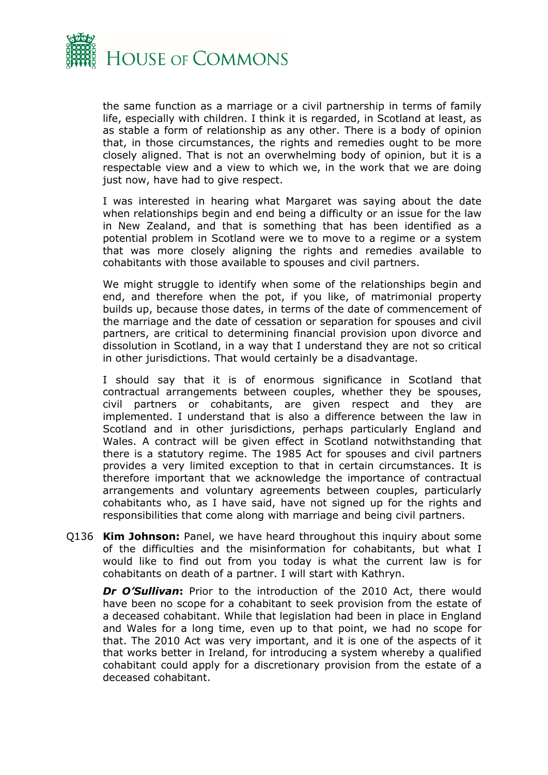

the same function as a marriage or a civil partnership in terms of family life, especially with children. I think it is regarded, in Scotland at least, as as stable a form of relationship as any other. There is a body of opinion that, in those circumstances, the rights and remedies ought to be more closely aligned. That is not an overwhelming body of opinion, but it is a respectable view and a view to which we, in the work that we are doing just now, have had to give respect.

I was interested in hearing what Margaret was saying about the date when relationships begin and end being a difficulty or an issue for the law in New Zealand, and that is something that has been identified as a potential problem in Scotland were we to move to a regime or a system that was more closely aligning the rights and remedies available to cohabitants with those available to spouses and civil partners.

We might struggle to identify when some of the relationships begin and end, and therefore when the pot, if you like, of matrimonial property builds up, because those dates, in terms of the date of commencement of the marriage and the date of cessation or separation for spouses and civil partners, are critical to determining financial provision upon divorce and dissolution in Scotland, in a way that I understand they are not so critical in other jurisdictions. That would certainly be a disadvantage.

I should say that it is of enormous significance in Scotland that contractual arrangements between couples, whether they be spouses, civil partners or cohabitants, are given respect and they are implemented. I understand that is also a difference between the law in Scotland and in other jurisdictions, perhaps particularly England and Wales. A contract will be given effect in Scotland notwithstanding that there is a statutory regime. The 1985 Act for spouses and civil partners provides a very limited exception to that in certain circumstances. It is therefore important that we acknowledge the importance of contractual arrangements and voluntary agreements between couples, particularly cohabitants who, as I have said, have not signed up for the rights and responsibilities that come along with marriage and being civil partners.

Q136 **Kim Johnson:** Panel, we have heard throughout this inquiry about some of the difficulties and the misinformation for cohabitants, but what I would like to find out from you today is what the current law is for cohabitants on death of a partner. I will start with Kathryn.

*Dr O'Sullivan***:** Prior to the introduction of the 2010 Act, there would have been no scope for a cohabitant to seek provision from the estate of a deceased cohabitant. While that legislation had been in place in England and Wales for a long time, even up to that point, we had no scope for that. The 2010 Act was very important, and it is one of the aspects of it that works better in Ireland, for introducing a system whereby a qualified cohabitant could apply for a discretionary provision from the estate of a deceased cohabitant.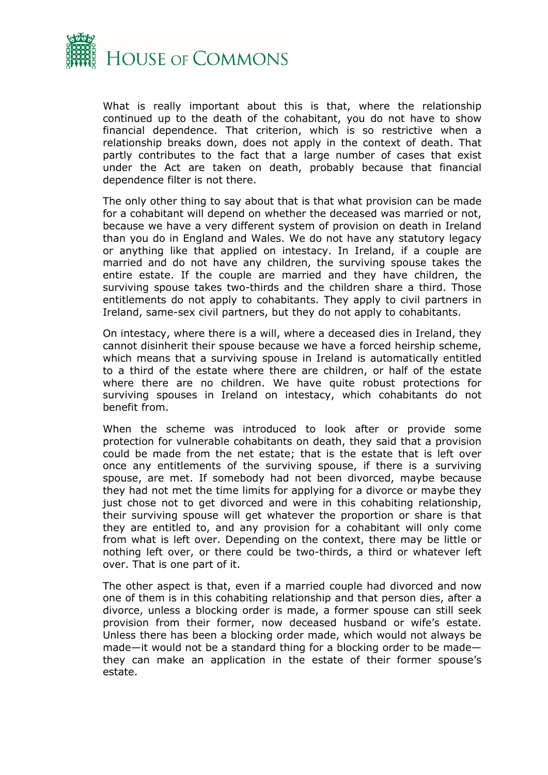

What is really important about this is that, where the relationship continued up to the death of the cohabitant, you do not have to show financial dependence. That criterion, which is so restrictive when a relationship breaks down, does not apply in the context of death. That partly contributes to the fact that a large number of cases that exist under the Act are taken on death, probably because that financial dependence filter is not there.

The only other thing to say about that is that what provision can be made for a cohabitant will depend on whether the deceased was married or not, because we have a very different system of provision on death in Ireland than you do in England and Wales. We do not have any statutory legacy or anything like that applied on intestacy. In Ireland, if a couple are married and do not have any children, the surviving spouse takes the entire estate. If the couple are married and they have children, the surviving spouse takes two-thirds and the children share a third. Those entitlements do not apply to cohabitants. They apply to civil partners in Ireland, same-sex civil partners, but they do not apply to cohabitants.

On intestacy, where there is a will, where a deceased dies in Ireland, they cannot disinherit their spouse because we have a forced heirship scheme, which means that a surviving spouse in Ireland is automatically entitled to a third of the estate where there are children, or half of the estate where there are no children. We have quite robust protections for surviving spouses in Ireland on intestacy, which cohabitants do not benefit from.

When the scheme was introduced to look after or provide some protection for vulnerable cohabitants on death, they said that a provision could be made from the net estate; that is the estate that is left over once any entitlements of the surviving spouse, if there is a surviving spouse, are met. If somebody had not been divorced, maybe because they had not met the time limits for applying for a divorce or maybe they just chose not to get divorced and were in this cohabiting relationship, their surviving spouse will get whatever the proportion or share is that they are entitled to, and any provision for a cohabitant will only come from what is left over. Depending on the context, there may be little or nothing left over, or there could be two-thirds, a third or whatever left over. That is one part of it.

The other aspect is that, even if a married couple had divorced and now one of them is in this cohabiting relationship and that person dies, after a divorce, unless a blocking order is made, a former spouse can still seek provision from their former, now deceased husband or wife's estate. Unless there has been a blocking order made, which would not always be made—it would not be a standard thing for a blocking order to be made they can make an application in the estate of their former spouse's estate.